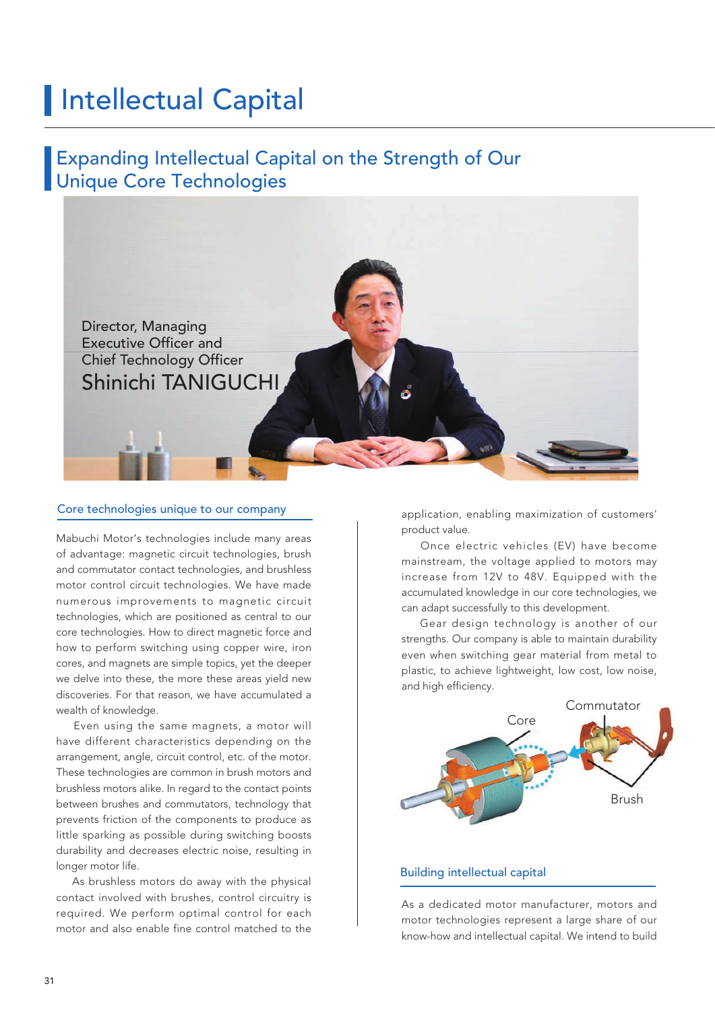# **Intellectual Capital**

# Expanding Intellectual Capital on the Strength of Our Unique Core Technologies



### Core technologies unique to our company

Mabuchi Motor's technologies include many areas of advantage: magnetic circuit technologies, brush and commutator contact technologies, and brushless motor control circuit technologies. We have made numerous improvements to magnetic circuit technologies, which are positioned as central to our core technologies. How to direct magnetic force and how to perform switching using copper wire, iron cores, and magnets are simple topics, yet the deeper we delve into these, the more these areas yield new discoveries. For that reason, we have accumulated a wealth of knowledge.

 Even using the same magnets, a motor will have different characteristics depending on the arrangement, angle, circuit control, etc. of the motor. These technologies are common in brush motors and brushless motors alike. In regard to the contact points between brushes and commutators, technology that prevents friction of the components to produce as little sparking as possible during switching boosts durability and decreases electric noise, resulting in longer motor life.

 As brushless motors do away with the physical contact involved with brushes, control circuitry is required. We perform optimal control for each motor and also enable fine control matched to the

application, enabling maximization of customers' product value.

 Once electric vehicles (EV) have become mainstream, the voltage applied to motors may increase from 12V to 48V. Equipped with the accumulated knowledge in our core technologies, we can adapt successfully to this development.

 Gear design technology is another of our strengths. Our company is able to maintain durability even when switching gear material from metal to plastic, to achieve lightweight, low cost, low noise, and high efficiency.



#### Building intellectual capital

As a dedicated motor manufacturer, motors and motor technologies represent a large share of our know-how and intellectual capital. We intend to build